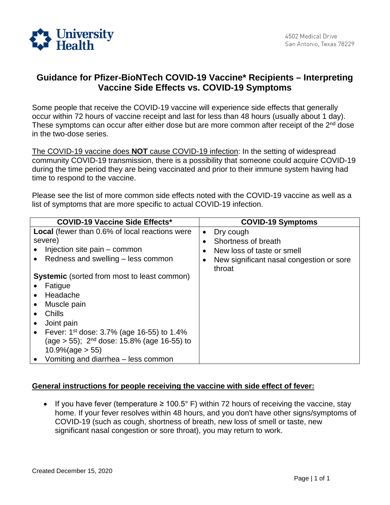

## **Guidance for Pfizer-BioNTech COVID-19 Vaccine\* Recipients – Interpreting Vaccine Side Effects vs. COVID-19 Symptoms**

Some people that receive the COVID-19 vaccine will experience side effects that generally occur within 72 hours of vaccine receipt and last for less than 48 hours (usually about 1 day). These symptoms can occur after either dose but are more common after receipt of the 2<sup>nd</sup> dose in the two-dose series.

The COVID-19 vaccine does **NOT** cause COVID-19 infection: In the setting of widespread community COVID-19 transmission, there is a possibility that someone could acquire COVID-19 during the time period they are being vaccinated and prior to their immune system having had time to respond to the vaccine.

Please see the list of more common side effects noted with the COVID-19 vaccine as well as a list of symptoms that are more specific to actual COVID-19 infection.

| <b>COVID-19 Vaccine Side Effects*</b>                  | <b>COVID-19 Symptoms</b>                           |
|--------------------------------------------------------|----------------------------------------------------|
| <b>Local</b> (fewer than 0.6% of local reactions were  | Dry cough<br>$\bullet$                             |
| severe)                                                | Shortness of breath<br>$\bullet$                   |
| Injection site pain – common                           | New loss of taste or smell                         |
| Redness and swelling – less common                     | New significant nasal congestion or sore<br>throat |
| <b>Systemic</b> (sorted from most to least common)     |                                                    |
| Fatigue                                                |                                                    |
| Headache                                               |                                                    |
| Muscle pain                                            |                                                    |
| Chills                                                 |                                                    |
| Joint pain                                             |                                                    |
| Fever: $1^{st}$ dose: 3.7% (age 16-55) to 1.4%         |                                                    |
| (age > 55); 2 <sup>nd</sup> dose: 15.8% (age 16-55) to |                                                    |
| $10.9\%$ (age $> 55$ )                                 |                                                    |
| Vomiting and diarrhea – less common                    |                                                    |

## **General instructions for people receiving the vaccine with side effect of fever:**

 COVID-19 (such as cough, shortness of breath, new loss of smell or taste, new • If you have fever (temperature  $\geq 100.5^{\circ}$  F) within 72 hours of receiving the vaccine, stay home. If your fever resolves within 48 hours, and you don't have other signs/symptoms of significant nasal congestion or sore throat), you may return to work.